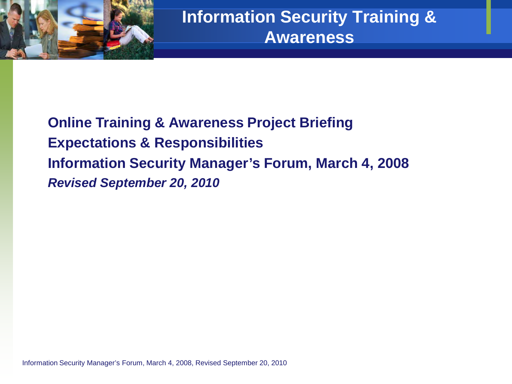

**Online Training & Awareness Project Briefing Expectations & Responsibilities Information Security Manager's Forum, March 4, 2008** *Revised September 20, 2010*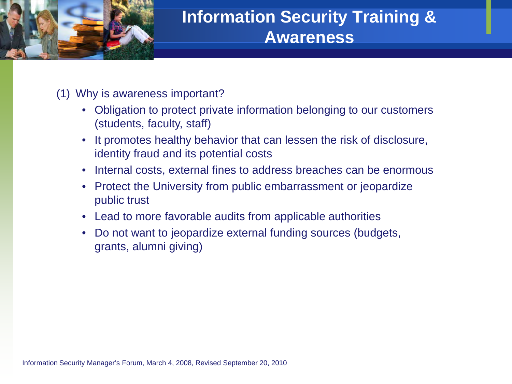

(1) Why is awareness important?

- Obligation to protect private information belonging to our customers (students, faculty, staff)
- It promotes healthy behavior that can lessen the risk of disclosure, identity fraud and its potential costs
- Internal costs, external fines to address breaches can be enormous
- Protect the University from public embarrassment or jeopardize public trust
- Lead to more favorable audits from applicable authorities
- Do not want to jeopardize external funding sources (budgets, grants, alumni giving)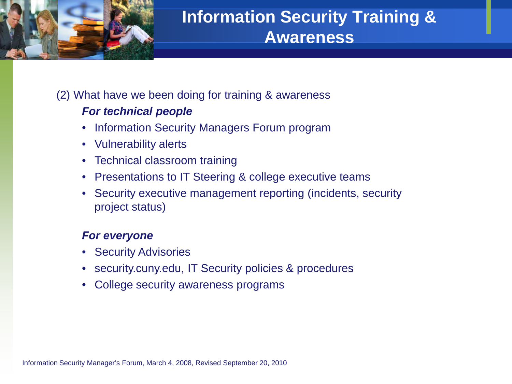

### (2) What have we been doing for training & awareness

### *For technical people*

- Information Security Managers Forum program
- Vulnerability alerts
- Technical classroom training
- Presentations to IT Steering & college executive teams
- Security executive management reporting (incidents, security project status)

### *For everyone*

- Security Advisories
- security.cuny.edu, IT Security policies & procedures
- College security awareness programs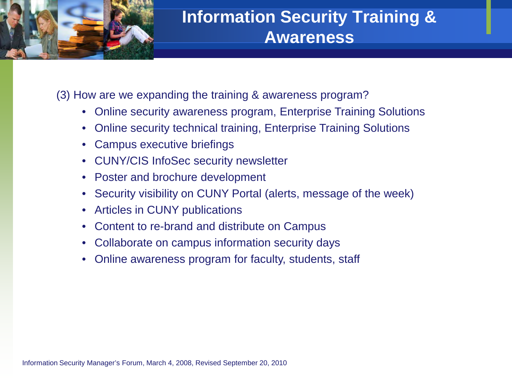

(3) How are we expanding the training & awareness program?

- Online security awareness program, Enterprise Training Solutions
- Online security technical training, Enterprise Training Solutions
- Campus executive briefings
- CUNY/CIS InfoSec security newsletter
- Poster and brochure development
- Security visibility on CUNY Portal (alerts, message of the week)
- Articles in CUNY publications
- Content to re-brand and distribute on Campus
- Collaborate on campus information security days
- Online awareness program for faculty, students, staff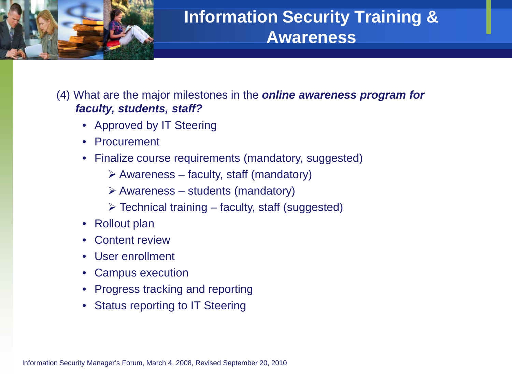

(4) What are the major milestones in the *online awareness program for faculty, students, staff?*

- Approved by IT Steering
- Procurement
- Finalize course requirements (mandatory, suggested)
	- $\triangleright$  Awareness faculty, staff (mandatory)
	- $\triangleright$  Awareness students (mandatory)
	- $\triangleright$  Technical training faculty, staff (suggested)
- Rollout plan
- Content review
- User enrollment
- Campus execution
- Progress tracking and reporting
- Status reporting to IT Steering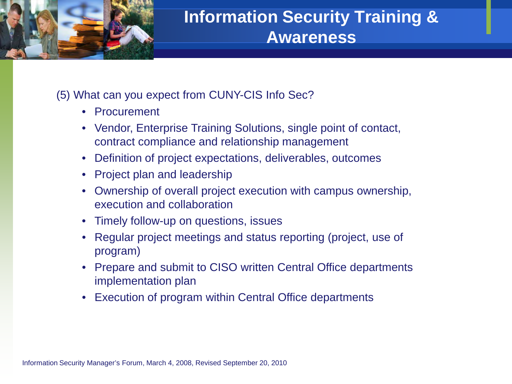

### (5) What can you expect from CUNY-CIS Info Sec?

- Procurement
- Vendor, Enterprise Training Solutions, single point of contact, contract compliance and relationship management
- Definition of project expectations, deliverables, outcomes
- Project plan and leadership
- Ownership of overall project execution with campus ownership, execution and collaboration
- Timely follow-up on questions, issues
- Regular project meetings and status reporting (project, use of program)
- Prepare and submit to CISO written Central Office departments implementation plan
- Execution of program within Central Office departments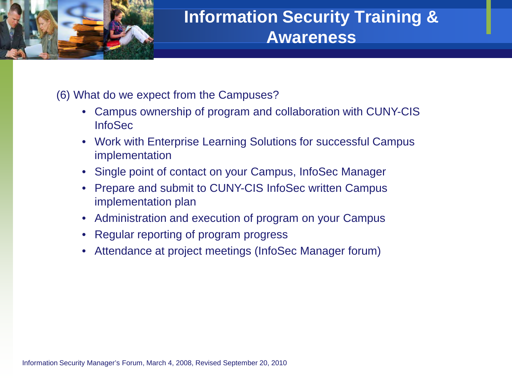

(6) What do we expect from the Campuses?

- Campus ownership of program and collaboration with CUNY-CIS InfoSec
- Work with Enterprise Learning Solutions for successful Campus implementation
- Single point of contact on your Campus, InfoSec Manager
- Prepare and submit to CUNY-CIS InfoSec written Campus implementation plan
- Administration and execution of program on your Campus
- Regular reporting of program progress
- Attendance at project meetings (InfoSec Manager forum)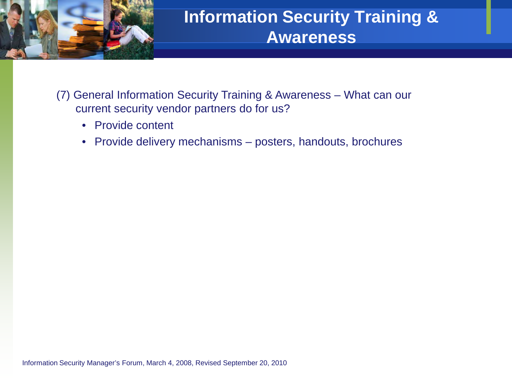

- (7) General Information Security Training & Awareness What can our current security vendor partners do for us?
	- Provide content
	- Provide delivery mechanisms posters, handouts, brochures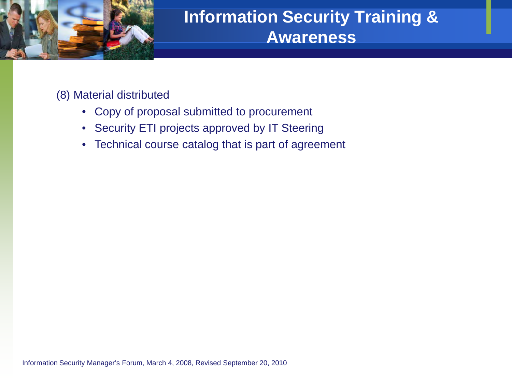

(8) Material distributed

- Copy of proposal submitted to procurement
- Security ETI projects approved by IT Steering
- Technical course catalog that is part of agreement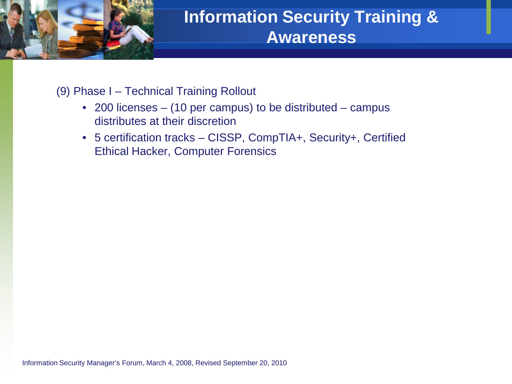

#### (9) Phase I – Technical Training Rollout

- 200 licenses (10 per campus) to be distributed campus distributes at their discretion
- 5 certification tracks CISSP, CompTIA+, Security+, Certified Ethical Hacker, Computer Forensics